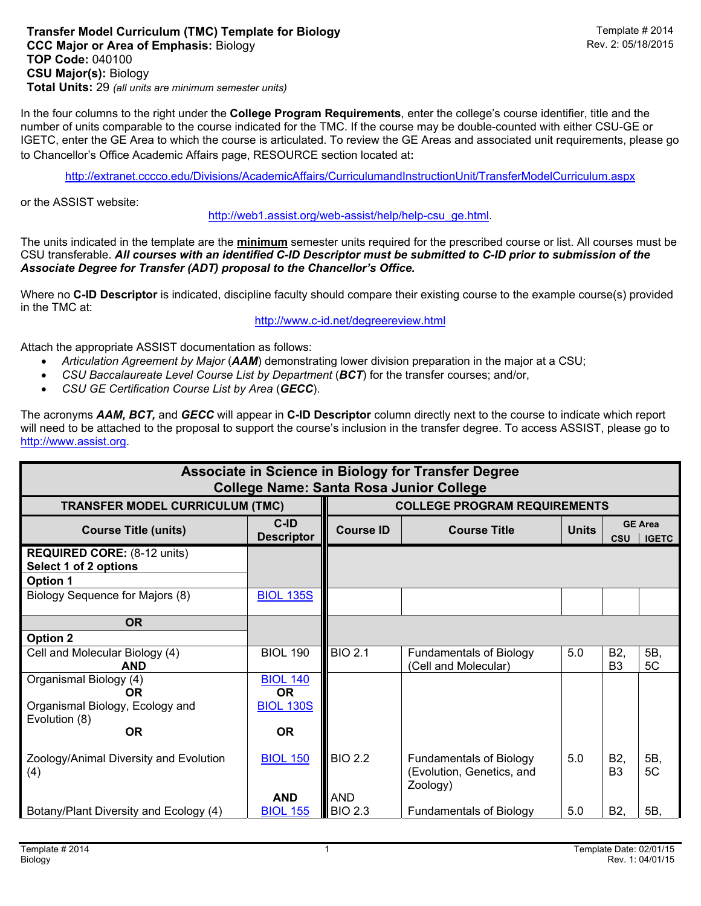In the four columns to the right under the **College Program Requirements**, enter the college's course identifier, title and the number of units comparable to the course indicated for the TMC. If the course may be double-counted with either CSU-GE or IGETC, enter the GE Area to which the course is articulated. To review the GE Areas and associated unit requirements, please go to Chancellor's Office Academic Affairs page, RESOURCE section located at:

http://extranet.cccco.edu/Divisions/AcademicAffairs/CurriculumandInstructionUnit/TransferModelCurriculum.aspx

or the ASSIST website:

http://web1.assist.org/web-assist/help/help-csu\_ge.html.

The units indicated in the template are the **minimum** semester units required for the prescribed course or list. All courses must be CSU transferable. *All courses with an identified C-ID Descriptor must be submitted to C-ID prior to submission of the Associate Degree for Transfer (ADT) proposal to the Chancellor's Office.*

Where no **C-ID Descriptor** is indicated, discipline faculty should compare their existing course to the example course(s) provided in the TMC at:

http://www.c-id.net/degreereview.html

Attach the appropriate ASSIST documentation as follows:

- *Articulation Agreement by Major* (*AAM*) demonstrating lower division preparation in the major at a CSU;
- *CSU Baccalaureate Level Course List by Department* (*BCT*) for the transfer courses; and/or,
- *CSU GE Certification Course List by Area* (*GECC*).

The acronyms *AAM, BCT,* and *GECC* will appear in **C-ID Descriptor** column directly next to the course to indicate which report will need to be attached to the proposal to support the course's inclusion in the transfer degree. To access ASSIST, please go to http://www.assist.org.

| Associate in Science in Biology for Transfer Degree<br><b>College Name: Santa Rosa Junior College</b> |                              |                                     |                                                                         |              |                                              |           |  |  |  |  |  |
|-------------------------------------------------------------------------------------------------------|------------------------------|-------------------------------------|-------------------------------------------------------------------------|--------------|----------------------------------------------|-----------|--|--|--|--|--|
| <b>TRANSFER MODEL CURRICULUM (TMC)</b>                                                                |                              | <b>COLLEGE PROGRAM REQUIREMENTS</b> |                                                                         |              |                                              |           |  |  |  |  |  |
| <b>Course Title (units)</b>                                                                           | C-ID<br><b>Descriptor</b>    | <b>Course ID</b>                    | <b>Course Title</b>                                                     | <b>Units</b> | <b>GE Area</b><br><b>CSU</b><br><b>IGETC</b> |           |  |  |  |  |  |
| <b>REQUIRED CORE:</b> (8-12 units)<br>Select 1 of 2 options                                           |                              |                                     |                                                                         |              |                                              |           |  |  |  |  |  |
| <b>Option 1</b>                                                                                       |                              |                                     |                                                                         |              |                                              |           |  |  |  |  |  |
| Biology Sequence for Majors (8)                                                                       | <b>BIOL 135S</b>             |                                     |                                                                         |              |                                              |           |  |  |  |  |  |
| <b>OR</b>                                                                                             |                              |                                     |                                                                         |              |                                              |           |  |  |  |  |  |
| <b>Option 2</b>                                                                                       |                              |                                     |                                                                         |              |                                              |           |  |  |  |  |  |
| Cell and Molecular Biology (4)                                                                        | <b>BIOL 190</b>              | <b>BIO 2.1</b>                      | <b>Fundamentals of Biology</b>                                          | 5.0          | B <sub>2</sub> ,                             | 5B,       |  |  |  |  |  |
| <b>AND</b>                                                                                            |                              |                                     | (Cell and Molecular)                                                    |              | B <sub>3</sub>                               | 5C        |  |  |  |  |  |
| Organismal Biology (4)<br>OR.                                                                         | <b>BIOL 140</b><br><b>OR</b> |                                     |                                                                         |              |                                              |           |  |  |  |  |  |
| Organismal Biology, Ecology and<br>Evolution (8)                                                      | <b>BIOL 130S</b>             |                                     |                                                                         |              |                                              |           |  |  |  |  |  |
| <b>OR</b>                                                                                             | <b>OR</b>                    |                                     |                                                                         |              |                                              |           |  |  |  |  |  |
| Zoology/Animal Diversity and Evolution<br>(4)                                                         | <b>BIOL 150</b>              | <b>BIO 2.2</b>                      | <b>Fundamentals of Biology</b><br>(Evolution, Genetics, and<br>Zoology) | 5.0          | B <sub>2</sub><br>B <sub>3</sub>             | 5B,<br>5C |  |  |  |  |  |
|                                                                                                       | <b>AND</b>                   | <b>AND</b>                          |                                                                         |              |                                              |           |  |  |  |  |  |
| Botany/Plant Diversity and Ecology (4)                                                                | <b>BIOL 155</b>              | <b>BIO 2.3</b>                      | <b>Fundamentals of Biology</b>                                          | 5.0          | B <sub>2</sub>                               | 5B.       |  |  |  |  |  |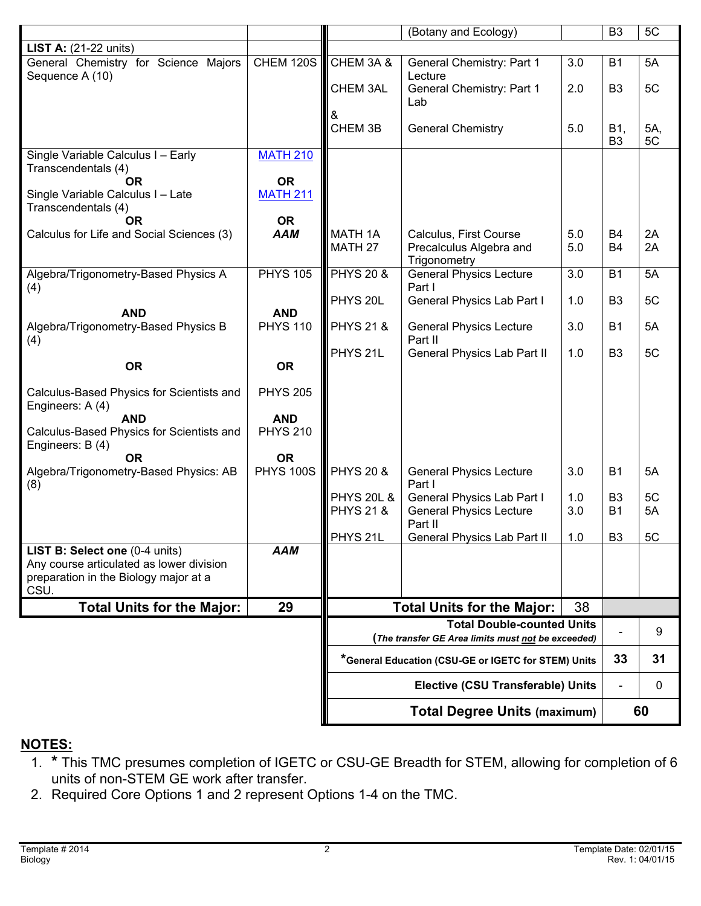|                                                                                                                             |                               |                                                     | (Botany and Ecology)                                                    |            | B <sub>3</sub>              | 5C        |  |
|-----------------------------------------------------------------------------------------------------------------------------|-------------------------------|-----------------------------------------------------|-------------------------------------------------------------------------|------------|-----------------------------|-----------|--|
| <b>LIST A:</b> $(21-22 \text{ units})$                                                                                      |                               |                                                     |                                                                         |            |                             |           |  |
| General Chemistry for Science Majors<br>Sequence A (10)                                                                     | <b>CHEM 120S</b>              | CHEM 3A &                                           | <b>General Chemistry: Part 1</b><br>Lecture                             | 3.0        | <b>B1</b>                   | 5A        |  |
|                                                                                                                             |                               | CHEM 3AL                                            | <b>General Chemistry: Part 1</b><br>Lab                                 | 2.0        | B <sub>3</sub>              | 5C        |  |
|                                                                                                                             |                               | &<br>CHEM 3B                                        | <b>General Chemistry</b>                                                | 5.0        | B1,<br>B <sub>3</sub>       | 5A,<br>5C |  |
| Single Variable Calculus I - Early<br>Transcendentals (4)                                                                   | <b>MATH 210</b>               |                                                     |                                                                         |            |                             |           |  |
| <b>OR</b><br>Single Variable Calculus I - Late<br>Transcendentals (4)                                                       | <b>OR</b><br><b>MATH 211</b>  |                                                     |                                                                         |            |                             |           |  |
| <b>OR</b>                                                                                                                   | <b>OR</b>                     |                                                     |                                                                         |            |                             |           |  |
| Calculus for Life and Social Sciences (3)                                                                                   | <b>AAM</b>                    | <b>MATH 1A</b><br>MATH <sub>27</sub>                | Calculus, First Course<br>Precalculus Algebra and<br>Trigonometry       | 5.0<br>5.0 | <b>B4</b><br><b>B4</b>      | 2A<br>2A  |  |
| Algebra/Trigonometry-Based Physics A<br>(4)                                                                                 | <b>PHYS 105</b>               | <b>PHYS 20 &amp;</b>                                | <b>General Physics Lecture</b><br>Part I                                | 3.0        | <b>B1</b>                   | 5A        |  |
| <b>AND</b>                                                                                                                  | <b>AND</b>                    | PHYS <sub>20L</sub>                                 | General Physics Lab Part I                                              | 1.0        | B <sub>3</sub>              | 5C        |  |
| Algebra/Trigonometry-Based Physics B<br>(4)                                                                                 | <b>PHYS 110</b>               | <b>PHYS 21 &amp;</b>                                | <b>General Physics Lecture</b><br>Part II                               | 3.0        | <b>B1</b>                   | 5A        |  |
| <b>OR</b>                                                                                                                   | <b>OR</b>                     | PHYS <sub>21</sub> L                                | General Physics Lab Part II                                             | 1.0        | B <sub>3</sub>              | 5C        |  |
|                                                                                                                             |                               |                                                     |                                                                         |            |                             |           |  |
| Calculus-Based Physics for Scientists and<br>Engineers: A (4)                                                               | <b>PHYS 205</b>               |                                                     |                                                                         |            |                             |           |  |
| <b>AND</b><br>Calculus-Based Physics for Scientists and<br>Engineers: B (4)                                                 | <b>AND</b><br><b>PHYS 210</b> |                                                     |                                                                         |            |                             |           |  |
| <b>OR</b>                                                                                                                   | <b>OR</b>                     |                                                     |                                                                         |            |                             |           |  |
| Algebra/Trigonometry-Based Physics: AB<br>(8)                                                                               | <b>PHYS 100S</b>              | <b>PHYS 20 &amp;</b>                                | <b>General Physics Lecture</b><br>Part I                                | 3.0        | <b>B1</b>                   | 5A        |  |
|                                                                                                                             |                               | <b>PHYS 20L &amp;</b><br><b>PHYS 21 &amp;</b>       | General Physics Lab Part I<br><b>General Physics Lecture</b><br>Part II | 1.0<br>3.0 | B <sub>3</sub><br><b>B1</b> | 5C<br>5A  |  |
|                                                                                                                             |                               | PHYS <sub>21</sub> L                                | General Physics Lab Part II                                             | 1.0        | B <sub>3</sub>              | 5C        |  |
| LIST B: Select one (0-4 units)<br>Any course articulated as lower division<br>preparation in the Biology major at a<br>CSU. | <b>AAM</b>                    |                                                     |                                                                         |            |                             |           |  |
| <b>Total Units for the Major:</b>                                                                                           | 29                            |                                                     | <b>Total Units for the Major:</b>                                       | 38         |                             |           |  |
|                                                                                                                             |                               | <b>Total Double-counted Units</b>                   |                                                                         |            |                             |           |  |
|                                                                                                                             |                               | (The transfer GE Area limits must not be exceeded)  |                                                                         |            |                             | 9         |  |
|                                                                                                                             |                               | *General Education (CSU-GE or IGETC for STEM) Units |                                                                         |            | 33                          | 31        |  |
|                                                                                                                             |                               | <b>Elective (CSU Transferable) Units</b>            |                                                                         |            | ä,                          | 0         |  |
|                                                                                                                             |                               | <b>Total Degree Units (maximum)</b>                 |                                                                         |            |                             | 60        |  |

## **NOTES:**

- 1. **\*** This TMC presumes completion of IGETC or CSU-GE Breadth for STEM, allowing for completion of 6 units of non-STEM GE work after transfer.
- 2. Required Core Options 1 and 2 represent Options 1-4 on the TMC.